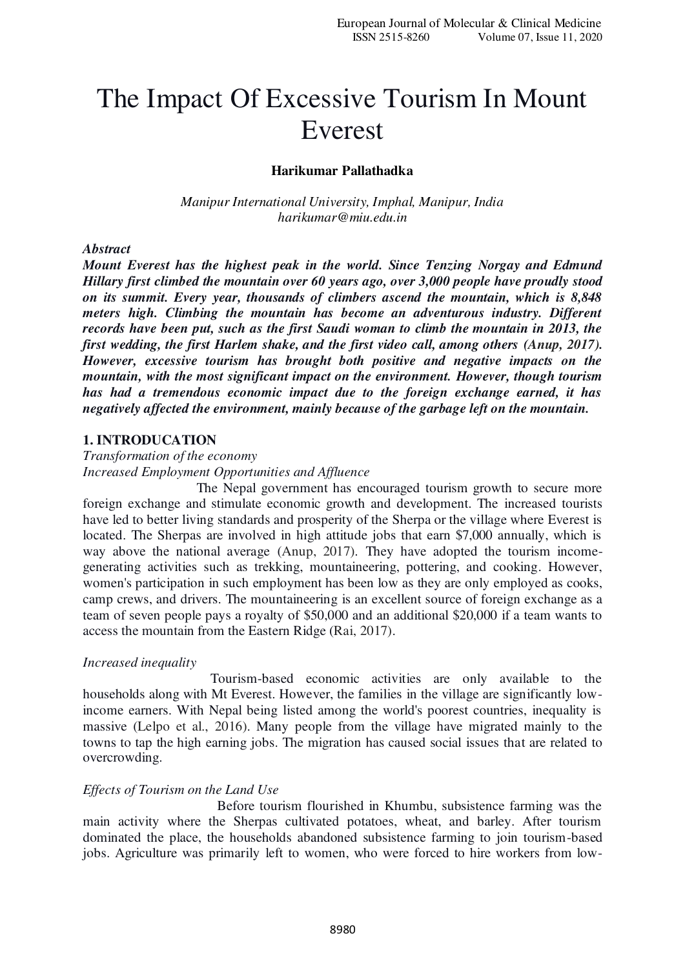# The Impact Of Excessive Tourism In Mount Everest

## **Harikumar Pallathadka**

*Manipur International University, Imphal, Manipur, India harikumar@miu.edu.in* 

#### *Abstract*

*Mount Everest has the highest peak in the world. Since Tenzing Norgay and Edmund Hillary first climbed the mountain over 60 years ago, over 3,000 people have proudly stood on its summit. Every year, thousands of climbers ascend the mountain, which is 8,848 meters high. Climbing the mountain has become an adventurous industry. Different records have been put, such as the first Saudi woman to climb the mountain in 2013, the first wedding, the first Harlem shake, and the first video call, among others (Anup, 2017). However, excessive tourism has brought both positive and negative impacts on the mountain, with the most significant impact on the environment. However, though tourism has had a tremendous economic impact due to the foreign exchange earned, it has negatively affected the environment, mainly because of the garbage left on the mountain.* 

#### **1. INTRODUCATION**

*Transformation of the economy Increased Employment Opportunities and Affluence* 

 The Nepal government has encouraged tourism growth to secure more foreign exchange and stimulate economic growth and development. The increased tourists have led to better living standards and prosperity of the Sherpa or the village where Everest is located. The Sherpas are involved in high attitude jobs that earn \$7,000 annually, which is way above the national average (Anup, 2017). They have adopted the tourism incomegenerating activities such as trekking, mountaineering, pottering, and cooking. However, women's participation in such employment has been low as they are only employed as cooks, camp crews, and drivers. The mountaineering is an excellent source of foreign exchange as a team of seven people pays a royalty of \$50,000 and an additional \$20,000 if a team wants to access the mountain from the Eastern Ridge (Rai, 2017).

#### *Increased inequality*

 Tourism-based economic activities are only available to the households along with Mt Everest. However, the families in the village are significantly lowincome earners. With Nepal being listed among the world's poorest countries, inequality is massive (Lelpo et al., 2016). Many people from the village have migrated mainly to the towns to tap the high earning jobs. The migration has caused social issues that are related to overcrowding.

### *Effects of Tourism on the Land Use*

 Before tourism flourished in Khumbu, subsistence farming was the main activity where the Sherpas cultivated potatoes, wheat, and barley. After tourism dominated the place, the households abandoned subsistence farming to join tourism-based jobs. Agriculture was primarily left to women, who were forced to hire workers from low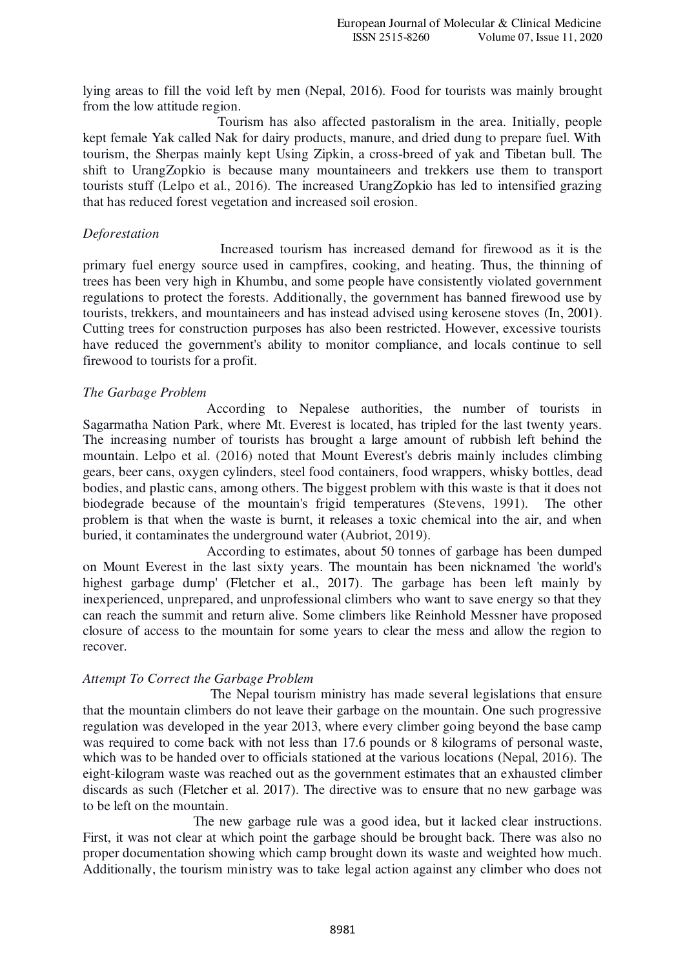lying areas to fill the void left by men (Nepal, 2016). Food for tourists was mainly brought from the low attitude region.

 Tourism has also affected pastoralism in the area. Initially, people kept female Yak called Nak for dairy products, manure, and dried dung to prepare fuel. With tourism, the Sherpas mainly kept Using Zipkin, a cross-breed of yak and Tibetan bull. The shift to UrangZopkio is because many mountaineers and trekkers use them to transport tourists stuff (Lelpo et al., 2016). The increased UrangZopkio has led to intensified grazing that has reduced forest vegetation and increased soil erosion.

# *Deforestation*

 Increased tourism has increased demand for firewood as it is the primary fuel energy source used in campfires, cooking, and heating. Thus, the thinning of trees has been very high in Khumbu, and some people have consistently violated government regulations to protect the forests. Additionally, the government has banned firewood use by tourists, trekkers, and mountaineers and has instead advised using kerosene stoves (In, 2001). Cutting trees for construction purposes has also been restricted. However, excessive tourists have reduced the government's ability to monitor compliance, and locals continue to sell firewood to tourists for a profit.

### *The Garbage Problem*

 According to Nepalese authorities, the number of tourists in Sagarmatha Nation Park, where Mt. Everest is located, has tripled for the last twenty years. The increasing number of tourists has brought a large amount of rubbish left behind the mountain. Lelpo et al. (2016) noted that Mount Everest's debris mainly includes climbing gears, beer cans, oxygen cylinders, steel food containers, food wrappers, whisky bottles, dead bodies, and plastic cans, among others. The biggest problem with this waste is that it does not biodegrade because of the mountain's frigid temperatures (Stevens, 1991). The other problem is that when the waste is burnt, it releases a toxic chemical into the air, and when buried, it contaminates the underground water (Aubriot, 2019).

 According to estimates, about 50 tonnes of garbage has been dumped on Mount Everest in the last sixty years. The mountain has been nicknamed 'the world's highest garbage dump' (Fletcher et al., 2017). The garbage has been left mainly by inexperienced, unprepared, and unprofessional climbers who want to save energy so that they can reach the summit and return alive. Some climbers like Reinhold Messner have proposed closure of access to the mountain for some years to clear the mess and allow the region to recover.

# *Attempt To Correct the Garbage Problem*

 The Nepal tourism ministry has made several legislations that ensure that the mountain climbers do not leave their garbage on the mountain. One such progressive regulation was developed in the year 2013, where every climber going beyond the base camp was required to come back with not less than 17.6 pounds or 8 kilograms of personal waste, which was to be handed over to officials stationed at the various locations (Nepal, 2016). The eight-kilogram waste was reached out as the government estimates that an exhausted climber discards as such (Fletcher et al. 2017). The directive was to ensure that no new garbage was to be left on the mountain.

 The new garbage rule was a good idea, but it lacked clear instructions. First, it was not clear at which point the garbage should be brought back. There was also no proper documentation showing which camp brought down its waste and weighted how much. Additionally, the tourism ministry was to take legal action against any climber who does not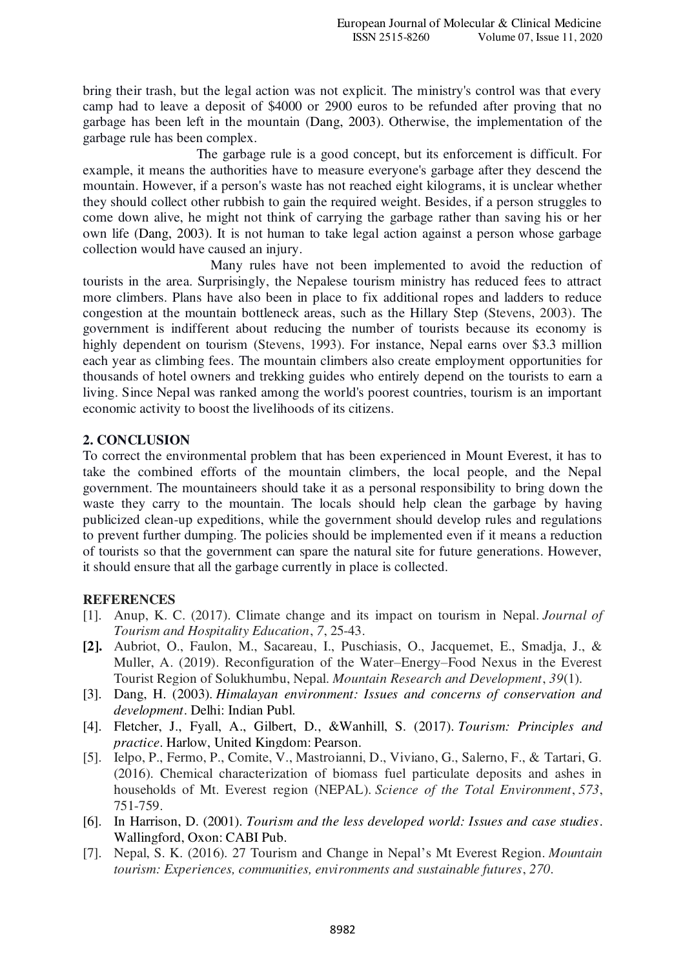bring their trash, but the legal action was not explicit. The ministry's control was that every camp had to leave a deposit of \$4000 or 2900 euros to be refunded after proving that no garbage has been left in the mountain (Dang, 2003). Otherwise, the implementation of the garbage rule has been complex.

 The garbage rule is a good concept, but its enforcement is difficult. For example, it means the authorities have to measure everyone's garbage after they descend the mountain. However, if a person's waste has not reached eight kilograms, it is unclear whether they should collect other rubbish to gain the required weight. Besides, if a person struggles to come down alive, he might not think of carrying the garbage rather than saving his or her own life (Dang, 2003). It is not human to take legal action against a person whose garbage collection would have caused an injury.

 Many rules have not been implemented to avoid the reduction of tourists in the area. Surprisingly, the Nepalese tourism ministry has reduced fees to attract more climbers. Plans have also been in place to fix additional ropes and ladders to reduce congestion at the mountain bottleneck areas, such as the Hillary Step (Stevens, 2003). The government is indifferent about reducing the number of tourists because its economy is highly dependent on tourism (Stevens, 1993). For instance, Nepal earns over \$3.3 million each year as climbing fees. The mountain climbers also create employment opportunities for thousands of hotel owners and trekking guides who entirely depend on the tourists to earn a living. Since Nepal was ranked among the world's poorest countries, tourism is an important economic activity to boost the livelihoods of its citizens.

# **2. CONCLUSION**

To correct the environmental problem that has been experienced in Mount Everest, it has to take the combined efforts of the mountain climbers, the local people, and the Nepal government. The mountaineers should take it as a personal responsibility to bring down the waste they carry to the mountain. The locals should help clean the garbage by having publicized clean-up expeditions, while the government should develop rules and regulations to prevent further dumping. The policies should be implemented even if it means a reduction of tourists so that the government can spare the natural site for future generations. However, it should ensure that all the garbage currently in place is collected.

# **REFERENCES**

- [1]. Anup, K. C. (2017). Climate change and its impact on tourism in Nepal. *Journal of Tourism and Hospitality Education*, *7*, 25-43.
- **[2].** Aubriot, O., Faulon, M., Sacareau, I., Puschiasis, O., Jacquemet, E., Smadja, J., & Muller, A. (2019). Reconfiguration of the Water–Energy–Food Nexus in the Everest Tourist Region of Solukhumbu, Nepal. *Mountain Research and Development*, *39*(1).
- [3]. Dang, H. (2003). *Himalayan environment: Issues and concerns of conservation and development*. Delhi: Indian Publ.
- [4]. Fletcher, J., Fyall, A., Gilbert, D., &Wanhill, S. (2017). *Tourism: Principles and practice*. Harlow, United Kingdom: Pearson.
- [5]. Ielpo, P., Fermo, P., Comite, V., Mastroianni, D., Viviano, G., Salerno, F., & Tartari, G. (2016). Chemical characterization of biomass fuel particulate deposits and ashes in households of Mt. Everest region (NEPAL). *Science of the Total Environment*, *573*, 751-759.
- [6]. In Harrison, D. (2001). *Tourism and the less developed world: Issues and case studies*. Wallingford, Oxon: CABI Pub.
- [7]. Nepal, S. K. (2016). 27 Tourism and Change in Nepal's Mt Everest Region. *Mountain tourism: Experiences, communities, environments and sustainable futures*, *270*.